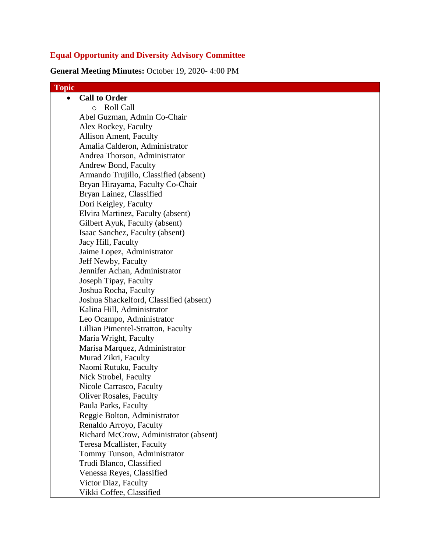# **Equal Opportunity and Diversity Advisory Committee**

**General Meeting Minutes:** October 19, 2020- 4:00 PM

| <b>Topic</b> |                                         |
|--------------|-----------------------------------------|
|              | <b>Call to Order</b>                    |
|              | o Roll Call                             |
|              | Abel Guzman, Admin Co-Chair             |
|              | Alex Rockey, Faculty                    |
|              | <b>Allison Ament, Faculty</b>           |
|              | Amalia Calderon, Administrator          |
|              | Andrea Thorson, Administrator           |
|              | Andrew Bond, Faculty                    |
|              | Armando Trujillo, Classified (absent)   |
|              | Bryan Hirayama, Faculty Co-Chair        |
|              | Bryan Lainez, Classified                |
|              | Dori Keigley, Faculty                   |
|              | Elvira Martinez, Faculty (absent)       |
|              | Gilbert Ayuk, Faculty (absent)          |
|              | Isaac Sanchez, Faculty (absent)         |
|              | Jacy Hill, Faculty                      |
|              | Jaime Lopez, Administrator              |
|              | Jeff Newby, Faculty                     |
|              | Jennifer Achan, Administrator           |
|              | Joseph Tipay, Faculty                   |
|              | Joshua Rocha, Faculty                   |
|              | Joshua Shackelford, Classified (absent) |
|              | Kalina Hill, Administrator              |
|              | Leo Ocampo, Administrator               |
|              | Lillian Pimentel-Stratton, Faculty      |
|              | Maria Wright, Faculty                   |
|              | Marisa Marquez, Administrator           |
|              | Murad Zikri, Faculty                    |
|              | Naomi Rutuku, Faculty                   |
|              | Nick Strobel, Faculty                   |
|              | Nicole Carrasco, Faculty                |
|              | Oliver Rosales, Faculty                 |
|              | Paula Parks, Faculty                    |
|              | Reggie Bolton, Administrator            |
|              | Renaldo Arroyo, Faculty                 |
|              | Richard McCrow, Administrator (absent)  |
|              | Teresa Mcallister, Faculty              |
|              | Tommy Tunson, Administrator             |
|              | Trudi Blanco, Classified                |
|              | Venessa Reyes, Classified               |
|              | Victor Diaz, Faculty                    |
|              | Vikki Coffee, Classified                |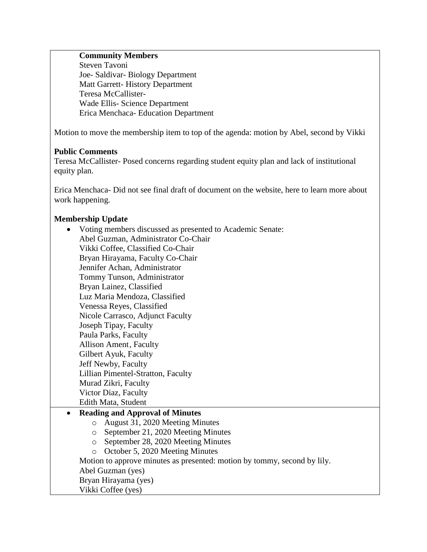#### **Community Members**

Steven Tavoni Joe- Saldivar- Biology Department Matt Garrett- History Department Teresa McCallister-Wade Ellis- Science Department Erica Menchaca- Education Department

Motion to move the membership item to top of the agenda: motion by Abel, second by Vikki

## **Public Comments**

Teresa McCallister- Posed concerns regarding student equity plan and lack of institutional equity plan.

Erica Menchaca- Did not see final draft of document on the website, here to learn more about work happening.

# **Membership Update**

| Voting members discussed as presented to Academic Senate:                |
|--------------------------------------------------------------------------|
| Abel Guzman, Administrator Co-Chair                                      |
| Vikki Coffee, Classified Co-Chair                                        |
| Bryan Hirayama, Faculty Co-Chair                                         |
| Jennifer Achan, Administrator                                            |
| Tommy Tunson, Administrator                                              |
| Bryan Lainez, Classified                                                 |
| Luz Maria Mendoza, Classified                                            |
| Venessa Reyes, Classified                                                |
| Nicole Carrasco, Adjunct Faculty                                         |
| Joseph Tipay, Faculty                                                    |
| Paula Parks, Faculty                                                     |
| <b>Allison Ament, Faculty</b>                                            |
| Gilbert Ayuk, Faculty                                                    |
| Jeff Newby, Faculty                                                      |
| Lillian Pimentel-Stratton, Faculty                                       |
| Murad Zikri, Faculty                                                     |
| Victor Diaz, Faculty                                                     |
| Edith Mata, Student                                                      |
| <b>Reading and Approval of Minutes</b>                                   |
| August 31, 2020 Meeting Minutes<br>$\circ$                               |
| September 21, 2020 Meeting Minutes<br>$\circ$                            |
| September 28, 2020 Meeting Minutes<br>$\circ$                            |
| October 5, 2020 Meeting Minutes<br>$\circ$                               |
| Motion to approve minutes as presented: motion by tommy, second by lily. |
| Abel Guzman (yes)                                                        |
| Bryan Hirayama (yes)                                                     |
| Vikki Coffee (yes)                                                       |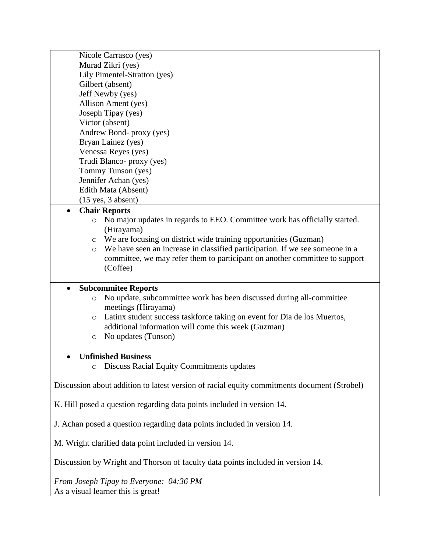| Nicole Carrasco (yes)                                                                                                                      |  |  |
|--------------------------------------------------------------------------------------------------------------------------------------------|--|--|
| Murad Zikri (yes)                                                                                                                          |  |  |
| Lily Pimentel-Stratton (yes)                                                                                                               |  |  |
| Gilbert (absent)                                                                                                                           |  |  |
| Jeff Newby (yes)                                                                                                                           |  |  |
| Allison Ament (yes)                                                                                                                        |  |  |
| Joseph Tipay (yes)                                                                                                                         |  |  |
| Victor (absent)                                                                                                                            |  |  |
| Andrew Bond- proxy (yes)                                                                                                                   |  |  |
| Bryan Lainez (yes)                                                                                                                         |  |  |
| Venessa Reyes (yes)                                                                                                                        |  |  |
| Trudi Blanco- proxy (yes)                                                                                                                  |  |  |
| Tommy Tunson (yes)                                                                                                                         |  |  |
| Jennifer Achan (yes)                                                                                                                       |  |  |
| Edith Mata (Absent)                                                                                                                        |  |  |
| $(15$ yes, $3$ absent)                                                                                                                     |  |  |
| <b>Chair Reports</b><br>$\bullet$                                                                                                          |  |  |
| No major updates in regards to EEO. Committee work has officially started.<br>$\circ$<br>(Hirayama)                                        |  |  |
| We are focusing on district wide training opportunities (Guzman)<br>$\circ$                                                                |  |  |
| We have seen an increase in classified participation. If we see someone in a<br>$\circ$                                                    |  |  |
| committee, we may refer them to participant on another committee to support                                                                |  |  |
| (Coffee)                                                                                                                                   |  |  |
|                                                                                                                                            |  |  |
| <b>Subcommitee Reports</b><br>$\bullet$                                                                                                    |  |  |
| No update, subcommittee work has been discussed during all-committee<br>$\circ$                                                            |  |  |
| meetings (Hirayama)                                                                                                                        |  |  |
| Latinx student success taskforce taking on event for Dia de los Muertos,<br>$\circ$<br>additional information will come this week (Guzman) |  |  |
| No updates (Tunson)<br>$\circ$                                                                                                             |  |  |
|                                                                                                                                            |  |  |
| <b>Unfinished Business</b>                                                                                                                 |  |  |
| <b>Discuss Racial Equity Commitments updates</b><br>$\circ$                                                                                |  |  |
|                                                                                                                                            |  |  |
| Discussion about addition to latest version of racial equity commitments document (Strobel)                                                |  |  |
| K. Hill posed a question regarding data points included in version 14.                                                                     |  |  |
|                                                                                                                                            |  |  |
| J. Achan posed a question regarding data points included in version 14.                                                                    |  |  |
| M. Wright clarified data point included in version 14.                                                                                     |  |  |
| Discussion by Wright and Thorson of faculty data points included in version 14.                                                            |  |  |
| From Joseph Tipay to Everyone: 04:36 PM                                                                                                    |  |  |
| As a visual learner this is great!                                                                                                         |  |  |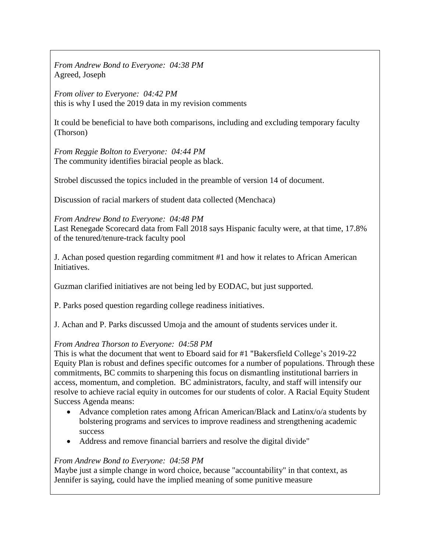*From Andrew Bond to Everyone: 04:38 PM* Agreed, Joseph

*From oliver to Everyone: 04:42 PM* this is why I used the 2019 data in my revision comments

It could be beneficial to have both comparisons, including and excluding temporary faculty (Thorson)

*From Reggie Bolton to Everyone: 04:44 PM* The community identifies biracial people as black.

Strobel discussed the topics included in the preamble of version 14 of document.

Discussion of racial markers of student data collected (Menchaca)

*From Andrew Bond to Everyone: 04:48 PM* Last Renegade Scorecard data from Fall 2018 says Hispanic faculty were, at that time, 17.8% of the tenured/tenure-track faculty pool

J. Achan posed question regarding commitment #1 and how it relates to African American Initiatives.

Guzman clarified initiatives are not being led by EODAC, but just supported.

P. Parks posed question regarding college readiness initiatives.

J. Achan and P. Parks discussed Umoja and the amount of students services under it.

# *From Andrea Thorson to Everyone: 04:58 PM*

This is what the document that went to Eboard said for #1 "Bakersfield College's 2019-22 Equity Plan is robust and defines specific outcomes for a number of populations. Through these commitments, BC commits to sharpening this focus on dismantling institutional barriers in access, momentum, and completion. BC administrators, faculty, and staff will intensify our resolve to achieve racial equity in outcomes for our students of color. A Racial Equity Student Success Agenda means:

- Advance completion rates among African American/Black and Latinx/o/a students by bolstering programs and services to improve readiness and strengthening academic success
- Address and remove financial barriers and resolve the digital divide"

#### *From Andrew Bond to Everyone: 04:58 PM*

Maybe just a simple change in word choice, because "accountability" in that context, as Jennifer is saying, could have the implied meaning of some punitive measure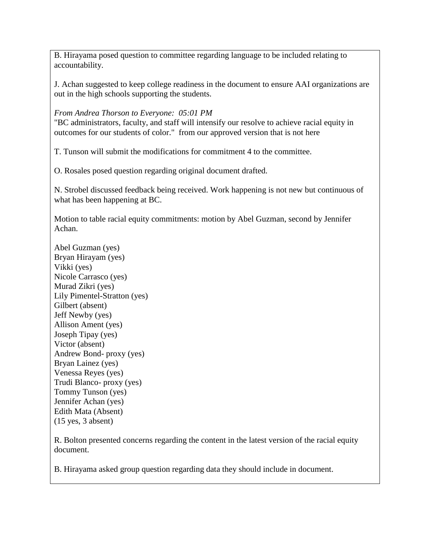B. Hirayama posed question to committee regarding language to be included relating to accountability.

J. Achan suggested to keep college readiness in the document to ensure AAI organizations are out in the high schools supporting the students.

# *From Andrea Thorson to Everyone: 05:01 PM*

"BC administrators, faculty, and staff will intensify our resolve to achieve racial equity in outcomes for our students of color." from our approved version that is not here

T. Tunson will submit the modifications for commitment 4 to the committee.

O. Rosales posed question regarding original document drafted.

N. Strobel discussed feedback being received. Work happening is not new but continuous of what has been happening at BC.

Motion to table racial equity commitments: motion by Abel Guzman, second by Jennifer Achan.

Abel Guzman (yes) Bryan Hirayam (yes) Vikki (yes) Nicole Carrasco (yes) Murad Zikri (yes) Lily Pimentel-Stratton (yes) Gilbert (absent) Jeff Newby (yes) Allison Ament (yes) Joseph Tipay (yes) Victor (absent) Andrew Bond- proxy (yes) Bryan Lainez (yes) Venessa Reyes (yes) Trudi Blanco- proxy (yes) Tommy Tunson (yes) Jennifer Achan (yes) Edith Mata (Absent) (15 yes, 3 absent)

R. Bolton presented concerns regarding the content in the latest version of the racial equity document.

B. Hirayama asked group question regarding data they should include in document.